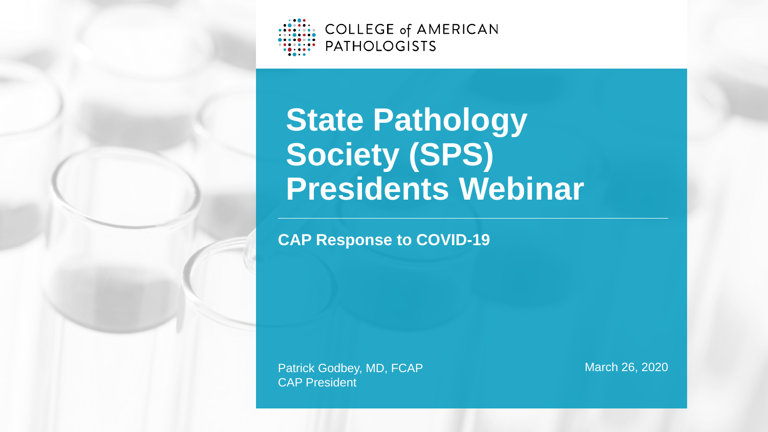Patrick Godbey, MD, FCAP CAP President

### March 26, 2020



# **State Pathology Society (SPS) Presidents Webinar**

**CAP Response to COVID-19**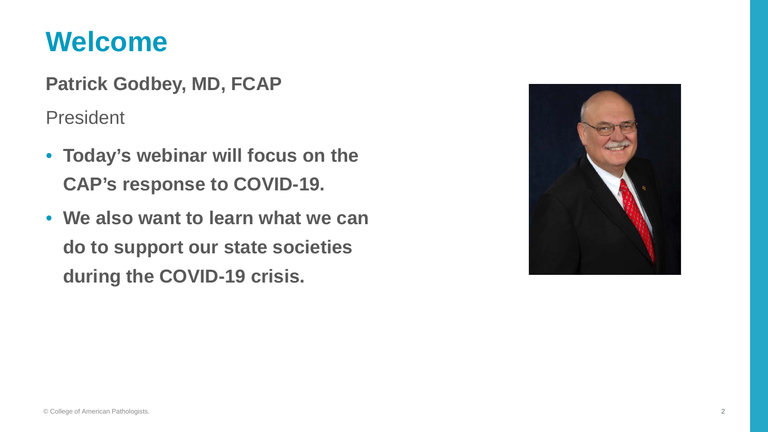### **Welcome**

**Patrick Godbey, MD, FCAP**

President

- **Today's webinar will focus on the CAP's response to COVID-19.**
- **We also want to learn what we can do to support our state societies during the COVID-19 crisis.**

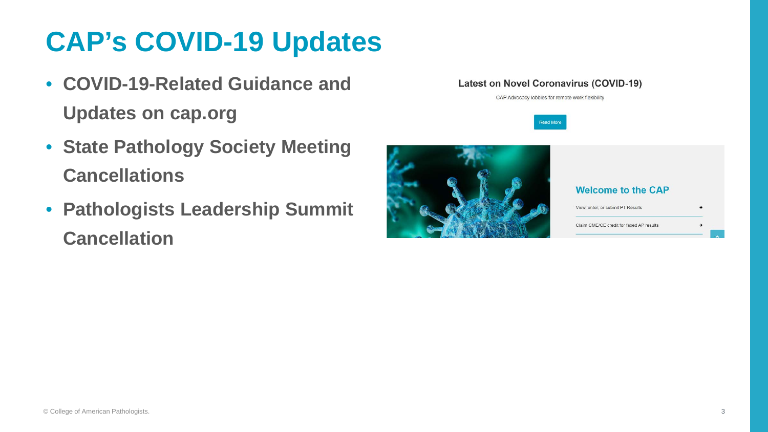

### **Latest on Novel Coronavirus (COVID-19)**

CAP Advocacy lobbies for remote work flexibility



### **Welcome to the CAP**

View, enter, or submit PT Results

Claim CME/CE credit for faxed AP results

# **CAP's COVID-19 Updates**

٠

- **COVID-19-Related Guidance and Updates on cap.org**
- **State Pathology Society Meeting Cancellations**
- **Pathologists Leadership Summit Cancellation**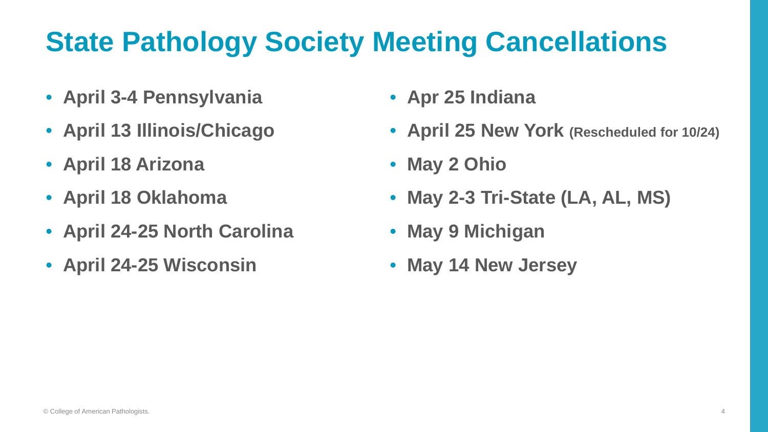

# **State Pathology Society Meeting Cancellations**

- **April 3-4 Pennsylvania**
- **April 13 Illinois/Chicago**
- **April 18 Arizona**
- **April 18 Oklahoma**
- **April 24-25 North Carolina**
- **April 24-25 Wisconsin**
- **Apr 25 Indiana**
- **April 25 New York (Rescheduled for 10/24)**
- **May 2 Ohio**
- **May 2-3 Tri-State (LA, AL, MS)**
- **May 9 Michigan**
- **May 14 New Jersey**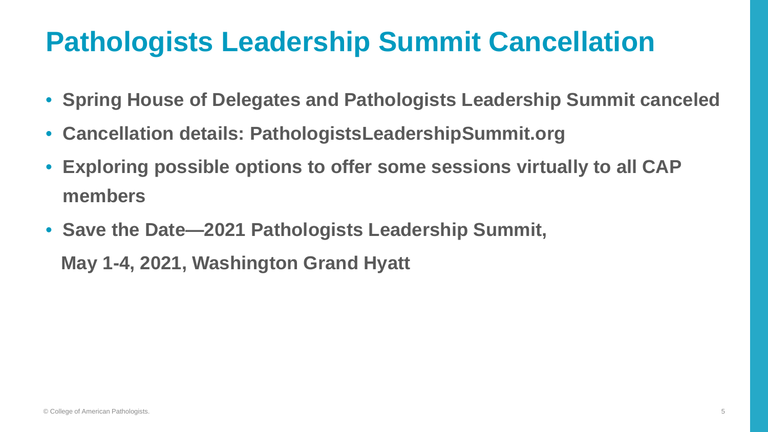

### **Pathologists Leadership Summit Cancellation**

- **Spring House of Delegates and Pathologists Leadership Summit canceled**
- **Cancellation details: PathologistsLeadershipSummit.org**
- **Exploring possible options to offer some sessions virtually to all CAP members**
- **Save the Date—2021 Pathologists Leadership Summit,**

**May 1-4, 2021, Washington Grand Hyatt**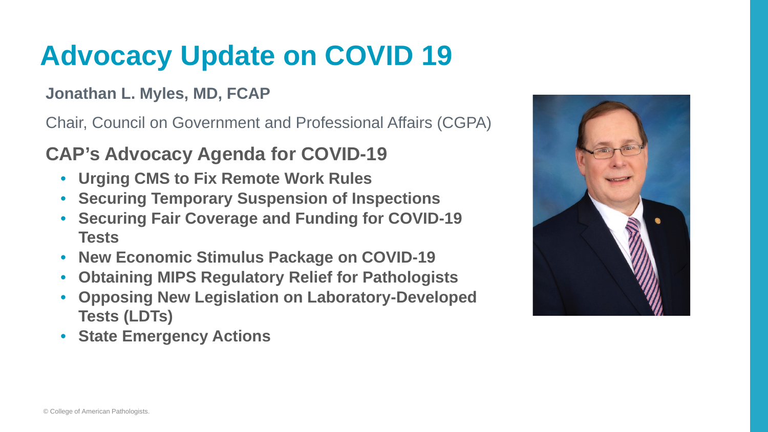# **Advocacy Update on COVID 19**

### **Jonathan L. Myles, MD, FCAP**

Chair, Council on Government and Professional Affairs (CGPA)

### **CAP's Advocacy Agenda for COVID-19**

- **Urging CMS to Fix Remote Work Rules**
- **Securing Temporary Suspension of Inspections**
- **Securing Fair Coverage and Funding for COVID-19 Tests**
- **New Economic Stimulus Package on COVID-19**
- **Obtaining MIPS Regulatory Relief for Pathologists**
- **Opposing New Legislation on Laboratory-Developed Tests (LDTs)**
- **State Emergency Actions**

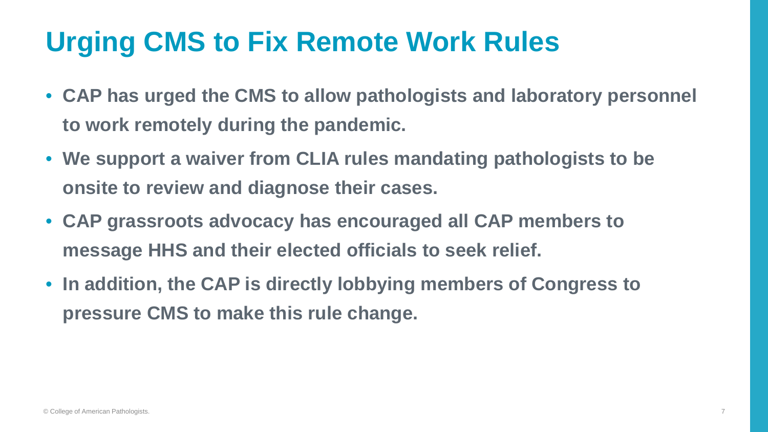# **Urging CMS to Fix Remote Work Rules**

- **CAP has urged the CMS to allow pathologists and laboratory personnel to work remotely during the pandemic.**
- **We support a waiver from CLIA rules mandating pathologists to be onsite to review and diagnose their cases.**
- **CAP grassroots advocacy has encouraged all CAP members to message HHS and their elected officials to seek relief.**
- **In addition, the CAP is directly lobbying members of Congress to pressure CMS to make this rule change.**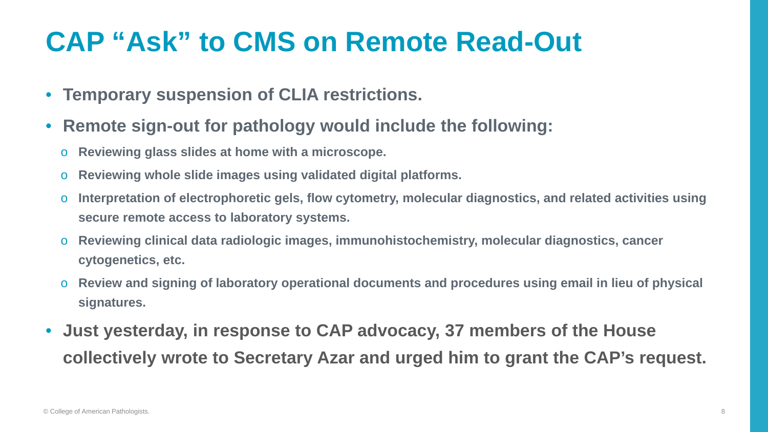### **CAP "Ask" to CMS on Remote Read-Out**

- **Temporary suspension of CLIA restrictions.**
- **Remote sign-out for pathology would include the following:**
	- o **Reviewing glass slides at home with a microscope.**
	- o **Reviewing whole slide images using validated digital platforms.**
	- o **Interpretation of electrophoretic gels, flow cytometry, molecular diagnostics, and related activities using secure remote access to laboratory systems.**
	- o **Reviewing clinical data radiologic images, immunohistochemistry, molecular diagnostics, cancer cytogenetics, etc.**
	- o **Review and signing of laboratory operational documents and procedures using email in lieu of physical signatures.**
- **Just yesterday, in response to CAP advocacy, 37 members of the House collectively wrote to Secretary Azar and urged him to grant the CAP's request.**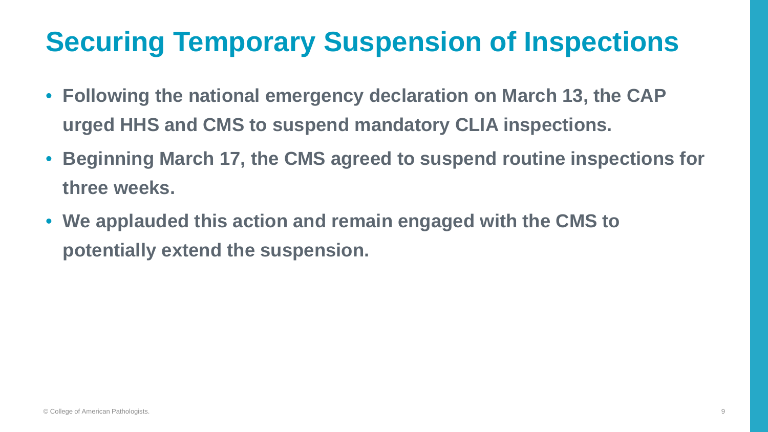# **Securing Temporary Suspension of Inspections**

- **Following the national emergency declaration on March 13, the CAP urged HHS and CMS to suspend mandatory CLIA inspections.**
- **Beginning March 17, the CMS agreed to suspend routine inspections for three weeks.**
- **We applauded this action and remain engaged with the CMS to potentially extend the suspension.**

9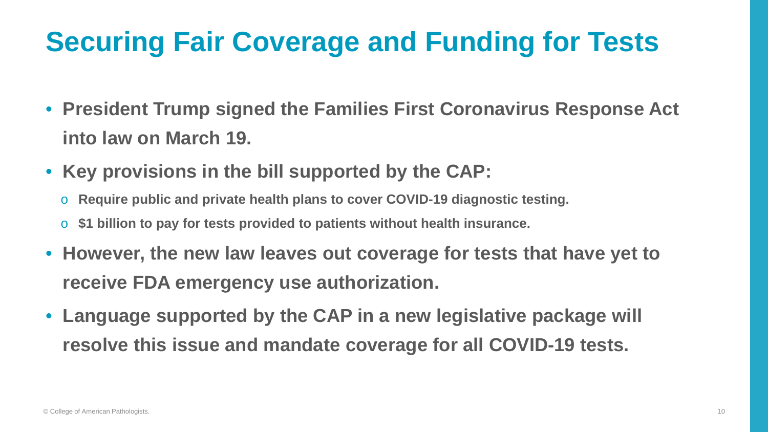

# **Securing Fair Coverage and Funding for Tests**

- **President Trump signed the Families First Coronavirus Response Act into law on March 19.**
- **Key provisions in the bill supported by the CAP:**
	- o **Require public and private health plans to cover COVID-19 diagnostic testing.**
	- \$1 billion to pay for tests provided to patients without health insurance.
- **However, the new law leaves out coverage for tests that have yet to receive FDA emergency use authorization.**
- **Language supported by the CAP in a new legislative package will resolve this issue and mandate coverage for all COVID-19 tests.**

10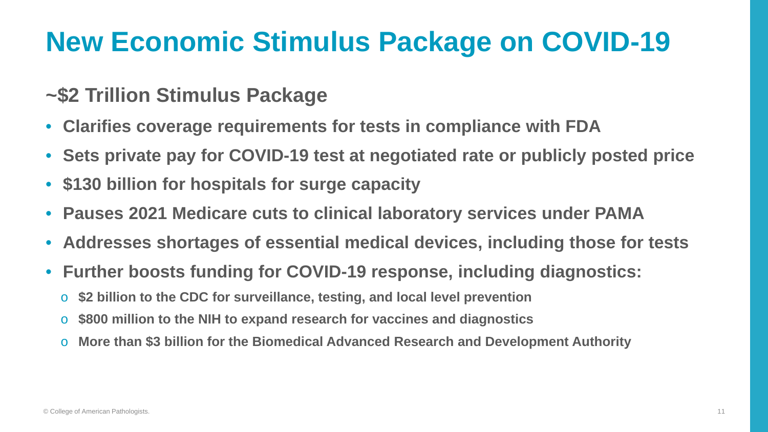

- **Clarifies coverage requirements for tests in compliance with FDA**
- **Sets private pay for COVID-19 test at negotiated rate or publicly posted price**
- **\$130 billion for hospitals for surge capacity**
- **Pauses 2021 Medicare cuts to clinical laboratory services under PAMA**
- **Addresses shortages of essential medical devices, including those for tests**
- **Further boosts funding for COVID-19 response, including diagnostics:**
	- o **\$2 billion to the CDC for surveillance, testing, and local level prevention**
	- o **\$800 million to the NIH to expand research for vaccines and diagnostics**
	- **More than \$3 billion for the Biomedical Advanced Research and Development Authority**

### **New Economic Stimulus Package on COVID-19**

### **~\$2 Trillion Stimulus Package**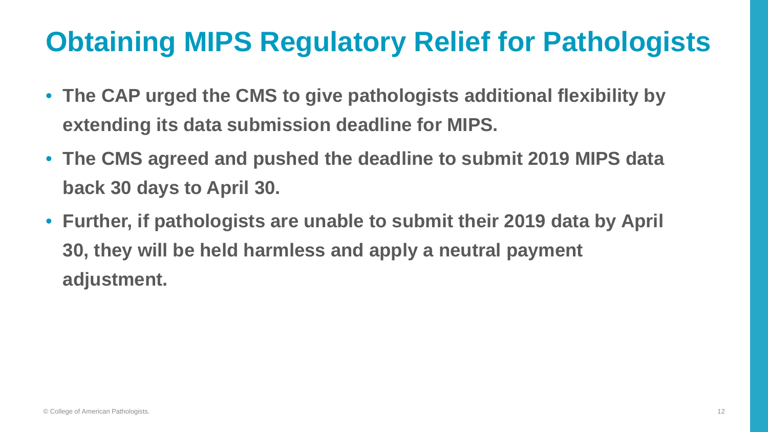

## **Obtaining MIPS Regulatory Relief for Pathologists**

- **The CAP urged the CMS to give pathologists additional flexibility by extending its data submission deadline for MIPS.**
- **The CMS agreed and pushed the deadline to submit 2019 MIPS data back 30 days to April 30.**
- **Further, if pathologists are unable to submit their 2019 data by April 30, they will be held harmless and apply a neutral payment adjustment.**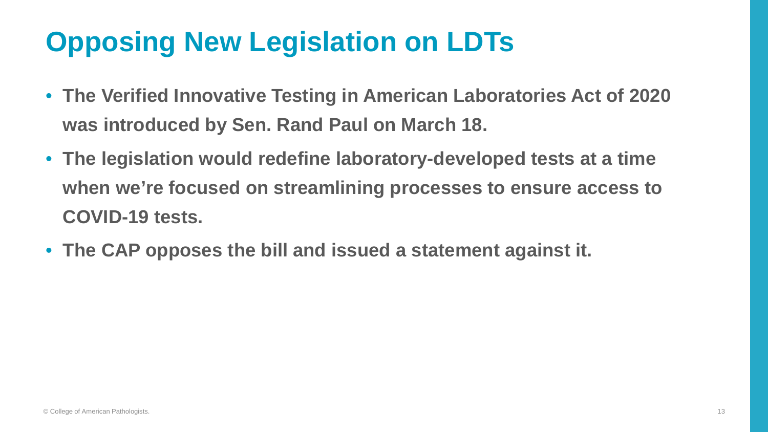# **Opposing New Legislation on LDTs**

- **The Verified Innovative Testing in American Laboratories Act of 2020 was introduced by Sen. Rand Paul on March 18.**
- **The legislation would redefine laboratory-developed tests at a time when we're focused on streamlining processes to ensure access to COVID-19 tests.**
- **The CAP opposes the bill and issued a statement against it.**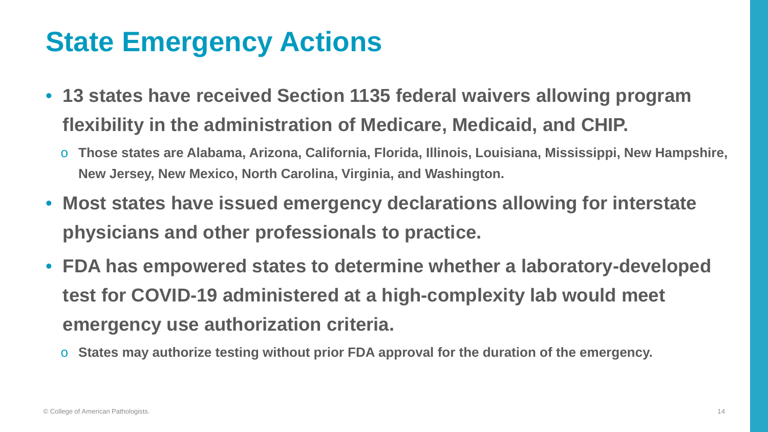### **State Emergency Actions**

- **13 states have received Section 1135 federal waivers allowing program flexibility in the administration of Medicare, Medicaid, and CHIP.**
	- o **Those states are Alabama, Arizona, California, Florida, Illinois, Louisiana, Mississippi, New Hampshire, New Jersey, New Mexico, North Carolina, Virginia, and Washington.**
- **Most states have issued emergency declarations allowing for interstate physicians and other professionals to practice.**
- **FDA has empowered states to determine whether a laboratory-developed test for COVID-19 administered at a high-complexity lab would meet emergency use authorization criteria.**
	- o **States may authorize testing without prior FDA approval for the duration of the emergency.**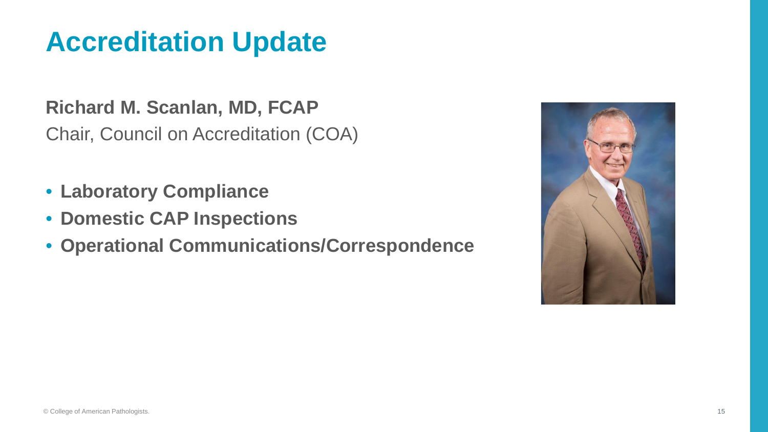

### **Accreditation Update**

**Richard M. Scanlan, MD, FCAP** Chair, Council on Accreditation (COA)

- **Laboratory Compliance**
- **Domestic CAP Inspections**
- **Operational Communications/Correspondence**

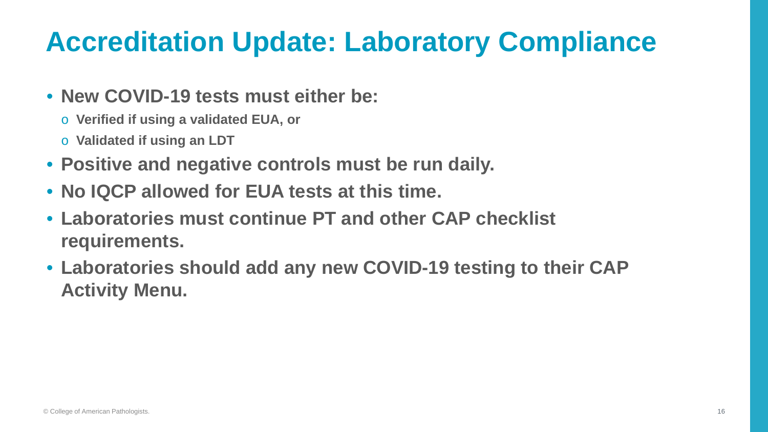



## **Accreditation Update: Laboratory Compliance**

- **New COVID-19 tests must either be:**
	- o **Verified if using a validated EUA, or**
	- o **Validated if using an LDT**
- **Positive and negative controls must be run daily.**
- **No IQCP allowed for EUA tests at this time.**
- **Laboratories must continue PT and other CAP checklist requirements.**
- **Laboratories should add any new COVID-19 testing to their CAP Activity Menu.**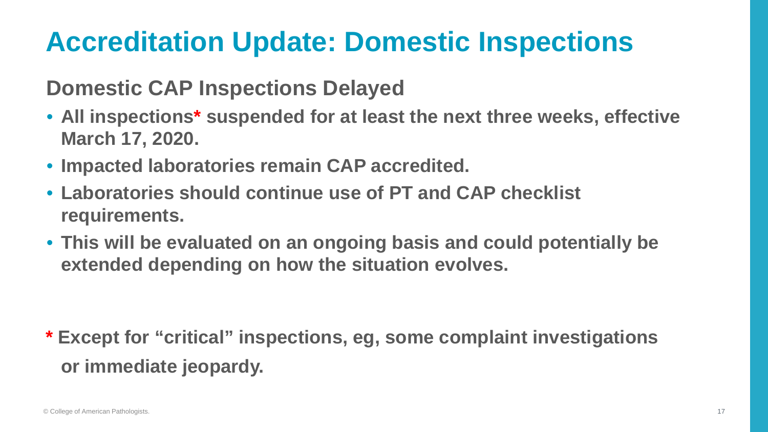

### **Accreditation Update: Domestic Inspections**

17

### **Domestic CAP Inspections Delayed**

- **All inspections\* suspended for at least the next three weeks, effective March 17, 2020.**
- **Impacted laboratories remain CAP accredited.**
- **Laboratories should continue use of PT and CAP checklist requirements.**
- **This will be evaluated on an ongoing basis and could potentially be extended depending on how the situation evolves.**

**\* Except for "critical" inspections, eg, some complaint investigations or immediate jeopardy.**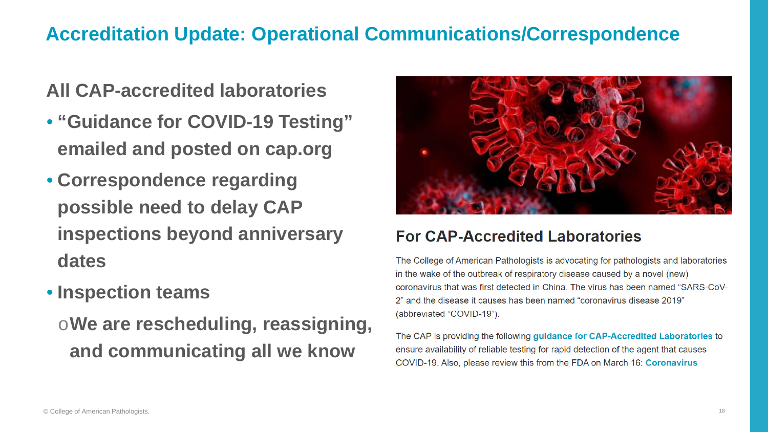### **Accreditation Update: Operational Communications/Correspondence**

**All CAP-accredited laboratories**

- **"Guidance for COVID-19 Testing" emailed and posted on cap.org**
- **Correspondence regarding possible need to delay CAP inspections beyond anniversary dates**
- **Inspection teams**

o**We are rescheduling, reassigning, and communicating all we know**



### **For CAP-Accredited Laboratories**

The College of American Pathologists is advocating for pathologists and laboratories in the wake of the outbreak of respiratory disease caused by a novel (new) coronavirus that was first detected in China. The virus has been named "SARS-CoV-2" and the disease it causes has been named "coronavirus disease 2019" (abbreviated "COVID-19").

The CAP is providing the following guidance for CAP-Accredited Laboratories to ensure availability of reliable testing for rapid detection of the agent that causes COVID-19. Also, please review this from the FDA on March 16: Coronavirus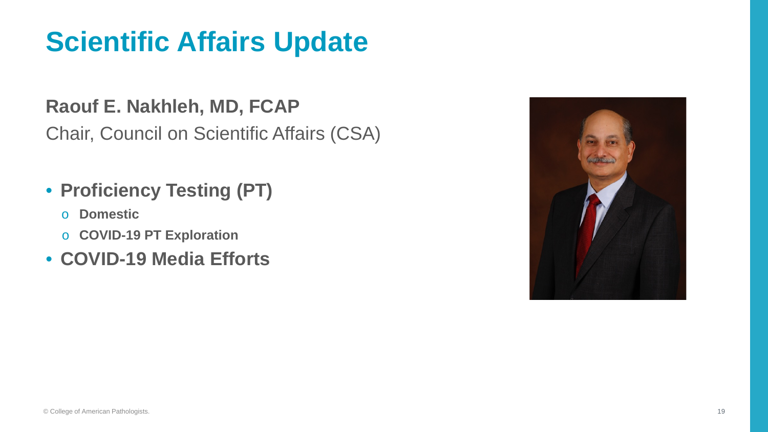# **Scientific Affairs Update**

### **Raouf E. Nakhleh, MD, FCAP**

Chair, Council on Scientific Affairs (CSA)

### • **Proficiency Testing (PT)**

- o **Domestic**
- o **COVID-19 PT Exploration**
- **COVID-19 Media Efforts**

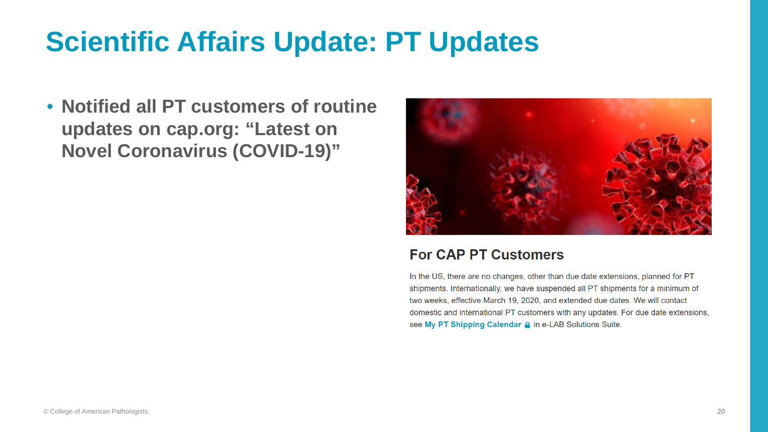## **Scientific Affairs Update: PT Updates**

• **Notified all PT customers of routine updates on cap.org: "Latest on Novel Coronavirus (COVID-19)"**



### **For CAP PT Customers**

In the US, there are no changes, other than due date extensions, planned for PT shipments. Internationally, we have suspended all PT shipments for a minimum of two weeks, effective March 19, 2020, and extended due dates. We will contact domestic and international PT customers with any updates. For due date extensions, see My PT Shipping Calendar A in e-LAB Solutions Suite.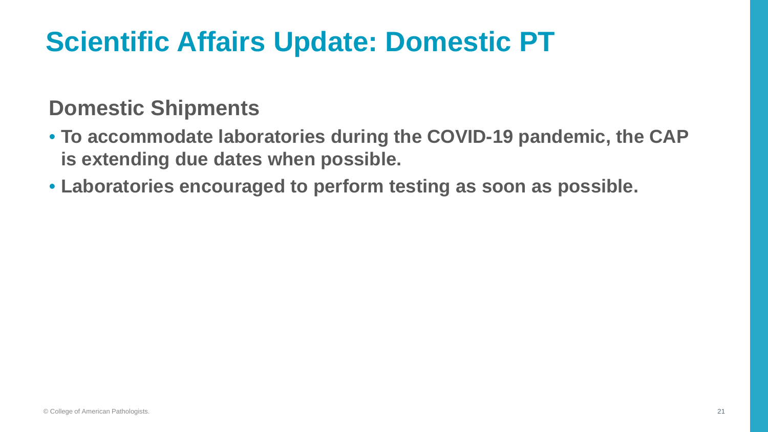# **Scientific Affairs Update: Domestic PT**

### **Domestic Shipments**

- **To accommodate laboratories during the COVID-19 pandemic, the CAP is extending due dates when possible.**
- **Laboratories encouraged to perform testing as soon as possible.**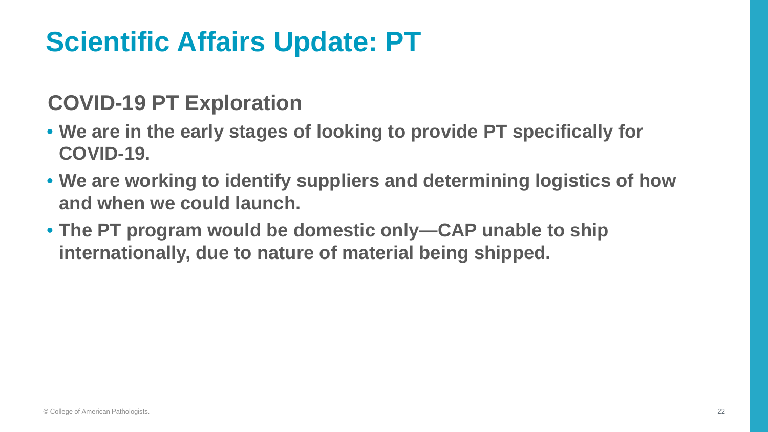# **Scientific Affairs Update: PT**

### **COVID-19 PT Exploration**

- **We are in the early stages of looking to provide PT specifically for COVID-19.**
- **We are working to identify suppliers and determining logistics of how and when we could launch.**
- **The PT program would be domestic only—CAP unable to ship internationally, due to nature of material being shipped.**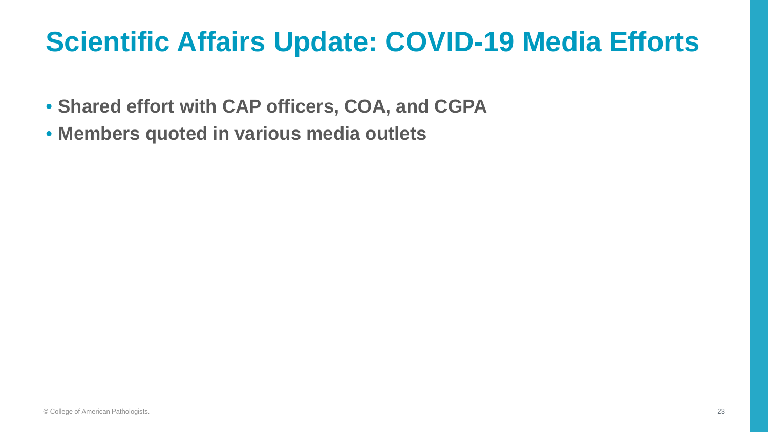

### **Scientific Affairs Update: COVID-19 Media Efforts**

- **Shared effort with CAP officers, COA, and CGPA**
- **Members quoted in various media outlets**